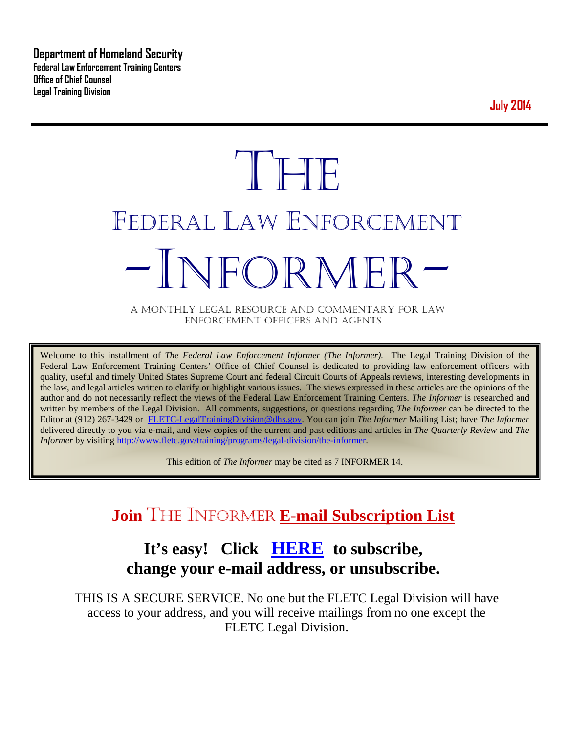**Department of Homeland Security Federal Law Enforcement Training Centers Office of Chief Counsel Legal Training Division** 

**July 2014**

# **THE** FEDERAL LAW ENFORCEMENT -INFORMER- A MONTHLY LEGAL RESOURCE AND COMMENTARY FOR LAW

ENFORCEMENT OFFICERS AND AGENTS

Welcome to this installment of *The Federal Law Enforcement Informer (The Informer).* The Legal Training Division of the Federal Law Enforcement Training Centers' Office of Chief Counsel is dedicated to providing law enforcement officers with quality, useful and timely United States Supreme Court and federal Circuit Courts of Appeals reviews, interesting developments in the law, and legal articles written to clarify or highlight various issues. The views expressed in these articles are the opinions of the author and do not necessarily reflect the views of the Federal Law Enforcement Training Centers. *The Informer* is researched and written by members of the Legal Division. All comments, suggestions, or questions regarding *The Informer* can be directed to the Editor at (912) 267-3429 or [FLETC-LegalTrainingDivision@dhs.gov.](mailto:FLETC-LegalTrainingDivision@dhs.gov) You can join *The Informer* Mailing List; have *The Informer* delivered directly to you via e-mail, and view copies of the current and past editions and articles in *The Quarterly Review* and *The Informer* by visiting [http://www.fletc.gov/training/programs/legal-division/the-informer.](http://www.fletc.gov/training/programs/legal-division/the-informer)

This edition of *The Informer* may be cited as 7 INFORMER 14.

## **Join** THE INFORMER **E-mail Subscription List**

## **It's easy! Click [HERE](http://peach.ease.lsoft.com/scripts/wa.exe?SUBED1=fletclgd&A=1) to subscribe, change your e-mail address, or unsubscribe.**

THIS IS A SECURE SERVICE. No one but the FLETC Legal Division will have access to your address, and you will receive mailings from no one except the FLETC Legal Division.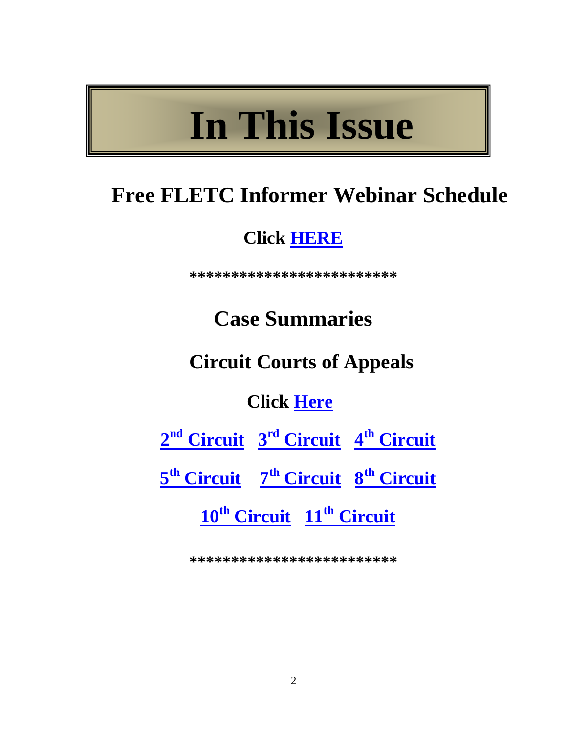## **In This Issue**

## **Free FLETC Informer Webinar Schedule**

## **Click [HERE](#page-2-0)**

**\*\*\*\*\*\*\*\*\*\*\*\*\*\*\*\*\*\*\*\*\*\*\*\*\***

## **Case Summaries**

## **Circuit Courts of Appeals**

## **Click [Here](#page-3-0)**

**2nd [Circuit](#page-3-1) 3rd [Circuit](#page-3-2) 4th [Circuit](#page-4-0)**

**5th [Circuit](#page-5-0) 7th [Circuit](#page-6-0) 8th [Circuit](#page-8-0)**

**10th [Circuit](#page-9-0) 11th [Circuit](#page-10-0)** 

**\*\*\*\*\*\*\*\*\*\*\*\*\*\*\*\*\*\*\*\*\*\*\*\*\***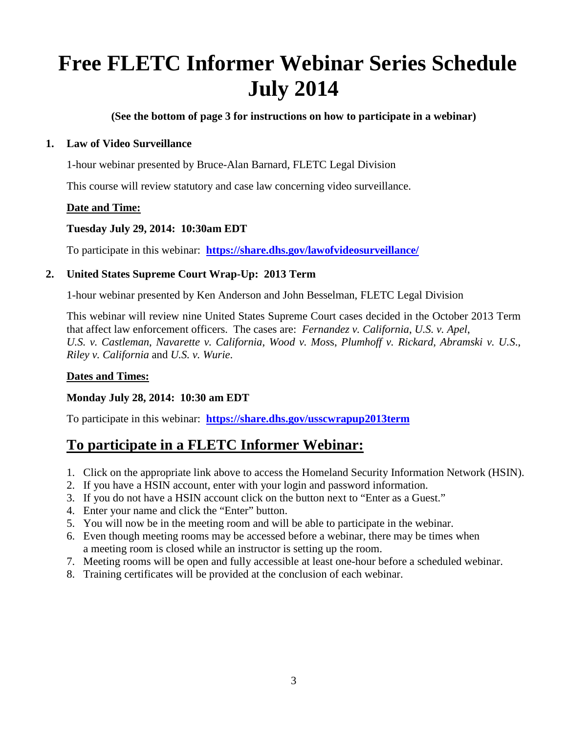## <span id="page-2-0"></span>**Free FLETC Informer Webinar Series Schedule July 2014**

**(See the bottom of page 3 for instructions on how to participate in a webinar)**

#### **1. Law of Video Surveillance**

1-hour webinar presented by Bruce-Alan Barnard, FLETC Legal Division

This course will review statutory and case law concerning video surveillance.

#### **Date and Time:**

#### **Tuesday July 29, 2014: 10:30am EDT**

To participate in this webinar: **<https://share.dhs.gov/lawofvideosurveillance/>**

#### **2. United States Supreme Court Wrap-Up: 2013 Term**

1-hour webinar presented by Ken Anderson and John Besselman, FLETC Legal Division

This webinar will review nine United States Supreme Court cases decided in the October 2013 Term that affect law enforcement officers. The cases are: *Fernandez v. California*, *U.S. v. Apel*, *U.S. v. Castleman*, *Navarette v. California*, *Wood v. Mos*s, *Plumhoff v. Rickard*, *Abramski v. U.S*., *Riley v. California* and *U.S. v. Wurie*.

#### **Dates and Times:**

#### **Monday July 28, 2014: 10:30 am EDT**

To participate in this webinar: **<https://share.dhs.gov/usscwrapup2013term>**

#### **To participate in a FLETC Informer Webinar:**

- 1. Click on the appropriate link above to access the Homeland Security Information Network (HSIN).
- 2. If you have a HSIN account, enter with your login and password information.
- 3. If you do not have a HSIN account click on the button next to "Enter as a Guest."
- 4. Enter your name and click the "Enter" button.
- 5. You will now be in the meeting room and will be able to participate in the webinar.
- 6. Even though meeting rooms may be accessed before a webinar, there may be times when a meeting room is closed while an instructor is setting up the room.
- 7. Meeting rooms will be open and fully accessible at least one-hour before a scheduled webinar.
- 8. Training certificates will be provided at the conclusion of each webinar.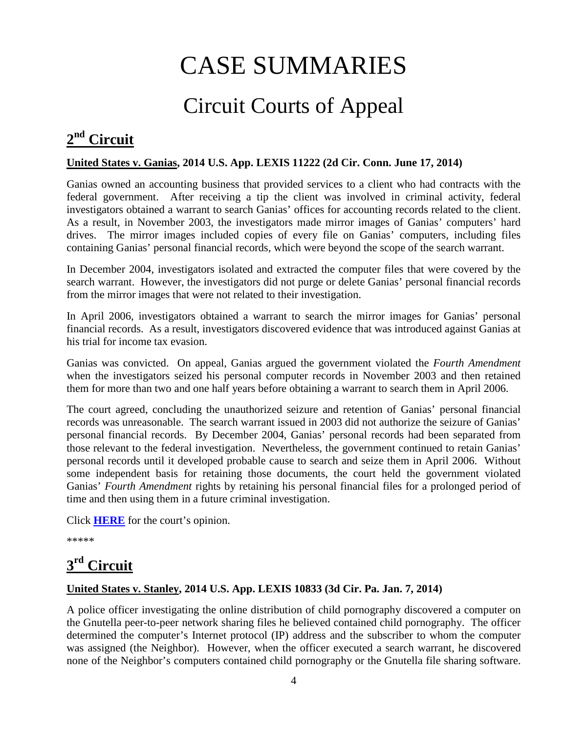## CASE SUMMARIES

## Circuit Courts of Appeal

## <span id="page-3-1"></span><span id="page-3-0"></span>**2nd Circuit**

#### **United States v. Ganias, 2014 U.S. App. LEXIS 11222 (2d Cir. Conn. June 17, 2014)**

Ganias owned an accounting business that provided services to a client who had contracts with the federal government. After receiving a tip the client was involved in criminal activity, federal investigators obtained a warrant to search Ganias' offices for accounting records related to the client. As a result, in November 2003, the investigators made mirror images of Ganias' computers' hard drives. The mirror images included copies of every file on Ganias' computers, including files containing Ganias' personal financial records, which were beyond the scope of the search warrant.

In December 2004, investigators isolated and extracted the computer files that were covered by the search warrant. However, the investigators did not purge or delete Ganias' personal financial records from the mirror images that were not related to their investigation.

In April 2006, investigators obtained a warrant to search the mirror images for Ganias' personal financial records. As a result, investigators discovered evidence that was introduced against Ganias at his trial for income tax evasion.

Ganias was convicted. On appeal, Ganias argued the government violated the *Fourth Amendment*  when the investigators seized his personal computer records in November 2003 and then retained them for more than two and one half years before obtaining a warrant to search them in April 2006.

The court agreed, concluding the unauthorized seizure and retention of Ganias' personal financial records was unreasonable. The search warrant issued in 2003 did not authorize the seizure of Ganias' personal financial records. By December 2004, Ganias' personal records had been separated from those relevant to the federal investigation. Nevertheless, the government continued to retain Ganias' personal records until it developed probable cause to search and seize them in April 2006. Without some independent basis for retaining those documents, the court held the government violated Ganias' *Fourth Amendment* rights by retaining his personal financial files for a prolonged period of time and then using them in a future criminal investigation.

Click **[HERE](http://docs.justia.com/cases/federal/appellate-courts/ca2/12-240/12-240-2014-06-17.pdf)** for the court's opinion.

\*\*\*\*\*

## <span id="page-3-2"></span>**3rd Circuit**

#### **United States v. Stanley, 2014 U.S. App. LEXIS 10833 (3d Cir. Pa. Jan. 7, 2014)**

A police officer investigating the online distribution of child pornography discovered a computer on the Gnutella peer-to-peer network sharing files he believed contained child pornography. The officer determined the computer's Internet protocol (IP) address and the subscriber to whom the computer was assigned (the Neighbor). However, when the officer executed a search warrant, he discovered none of the Neighbor's computers contained child pornography or the Gnutella file sharing software.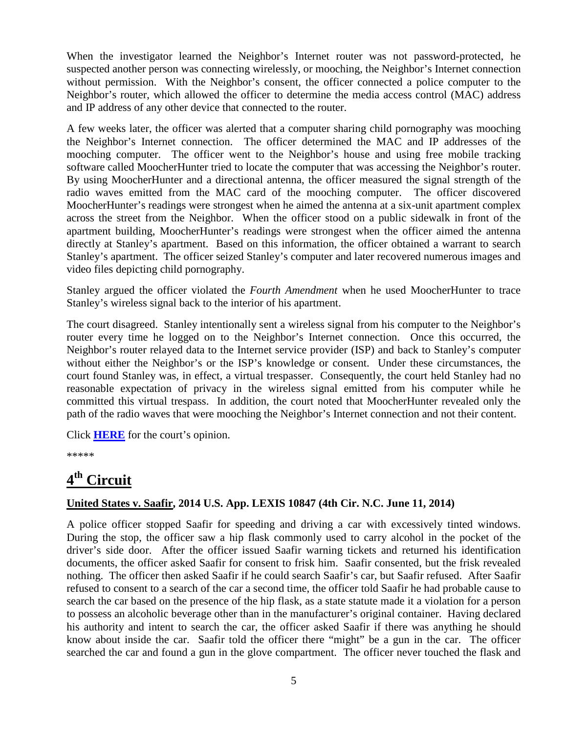When the investigator learned the Neighbor's Internet router was not password-protected, he suspected another person was connecting wirelessly, or mooching, the Neighbor's Internet connection without permission. With the Neighbor's consent, the officer connected a police computer to the Neighbor's router, which allowed the officer to determine the media access control (MAC) address and IP address of any other device that connected to the router.

A few weeks later, the officer was alerted that a computer sharing child pornography was mooching the Neighbor's Internet connection. The officer determined the MAC and IP addresses of the mooching computer. The officer went to the Neighbor's house and using free mobile tracking software called MoocherHunter tried to locate the computer that was accessing the Neighbor's router. By using MoocherHunter and a directional antenna, the officer measured the signal strength of the radio waves emitted from the MAC card of the mooching computer. The officer discovered MoocherHunter's readings were strongest when he aimed the antenna at a six-unit apartment complex across the street from the Neighbor. When the officer stood on a public sidewalk in front of the apartment building, MoocherHunter's readings were strongest when the officer aimed the antenna directly at Stanley's apartment. Based on this information, the officer obtained a warrant to search Stanley's apartment. The officer seized Stanley's computer and later recovered numerous images and video files depicting child pornography.

Stanley argued the officer violated the *Fourth Amendment* when he used MoocherHunter to trace Stanley's wireless signal back to the interior of his apartment.

The court disagreed. Stanley intentionally sent a wireless signal from his computer to the Neighbor's router every time he logged on to the Neighbor's Internet connection. Once this occurred, the Neighbor's router relayed data to the Internet service provider (ISP) and back to Stanley's computer without either the Neighbor's or the ISP's knowledge or consent. Under these circumstances, the court found Stanley was, in effect, a virtual trespasser. Consequently, the court held Stanley had no reasonable expectation of privacy in the wireless signal emitted from his computer while he committed this virtual trespass. In addition, the court noted that MoocherHunter revealed only the path of the radio waves that were mooching the Neighbor's Internet connection and not their content.

Click **[HERE](http://docs.justia.com/cases/federal/appellate-courts/ca3/13-1910/13-1910-2014-06-11.pdf)** for the court's opinion.

\*\*\*\*\*

## <span id="page-4-0"></span>**4th Circuit**

#### **United States v. Saafir, 2014 U.S. App. LEXIS 10847 (4th Cir. N.C. June 11, 2014)**

A police officer stopped Saafir for speeding and driving a car with excessively tinted windows. During the stop, the officer saw a hip flask commonly used to carry alcohol in the pocket of the driver's side door. After the officer issued Saafir warning tickets and returned his identification documents, the officer asked Saafir for consent to frisk him. Saafir consented, but the frisk revealed nothing. The officer then asked Saafir if he could search Saafir's car, but Saafir refused. After Saafir refused to consent to a search of the car a second time, the officer told Saafir he had probable cause to search the car based on the presence of the hip flask, as a state statute made it a violation for a person to possess an alcoholic beverage other than in the manufacturer's original container. Having declared his authority and intent to search the car, the officer asked Saafir if there was anything he should know about inside the car. Saafir told the officer there "might" be a gun in the car. The officer searched the car and found a gun in the glove compartment. The officer never touched the flask and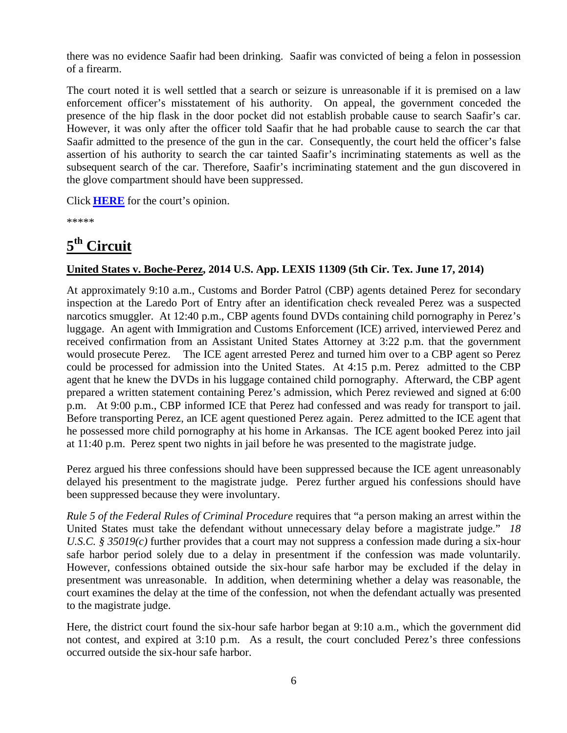there was no evidence Saafir had been drinking. Saafir was convicted of being a felon in possession of a firearm.

The court noted it is well settled that a search or seizure is unreasonable if it is premised on a law enforcement officer's misstatement of his authority. On appeal, the government conceded the presence of the hip flask in the door pocket did not establish probable cause to search Saafir's car. However, it was only after the officer told Saafir that he had probable cause to search the car that Saafir admitted to the presence of the gun in the car. Consequently, the court held the officer's false assertion of his authority to search the car tainted Saafir's incriminating statements as well as the subsequent search of the car. Therefore, Saafir's incriminating statement and the gun discovered in the glove compartment should have been suppressed.

Click **[HERE](http://docs.justia.com/cases/federal/appellate-courts/ca4/13-4049/13-4049-2014-06-11.pdf)** for the court's opinion.

\*\*\*\*\*

### <span id="page-5-0"></span>**5th Circuit**

#### **United States v. Boche-Perez, 2014 U.S. App. LEXIS 11309 (5th Cir. Tex. June 17, 2014)**

At approximately 9:10 a.m., Customs and Border Patrol (CBP) agents detained Perez for secondary inspection at the Laredo Port of Entry after an identification check revealed Perez was a suspected narcotics smuggler. At 12:40 p.m., CBP agents found DVDs containing child pornography in Perez's luggage. An agent with Immigration and Customs Enforcement (ICE) arrived, interviewed Perez and received confirmation from an Assistant United States Attorney at 3:22 p.m. that the government would prosecute Perez. The ICE agent arrested Perez and turned him over to a CBP agent so Perez could be processed for admission into the United States. At 4:15 p.m. Perez admitted to the CBP agent that he knew the DVDs in his luggage contained child pornography. Afterward, the CBP agent prepared a written statement containing Perez's admission, which Perez reviewed and signed at 6:00 p.m. At 9:00 p.m., CBP informed ICE that Perez had confessed and was ready for transport to jail. Before transporting Perez, an ICE agent questioned Perez again. Perez admitted to the ICE agent that he possessed more child pornography at his home in Arkansas. The ICE agent booked Perez into jail at 11:40 p.m. Perez spent two nights in jail before he was presented to the magistrate judge.

Perez argued his three confessions should have been suppressed because the ICE agent unreasonably delayed his presentment to the magistrate judge. Perez further argued his confessions should have been suppressed because they were involuntary.

*Rule 5 of the Federal Rules of Criminal Procedure* requires that "a person making an arrest within the United States must take the defendant without unnecessary delay before a magistrate judge." *18 U.S.C. § 35019(c)* further provides that a court may not suppress a confession made during a six-hour safe harbor period solely due to a delay in presentment if the confession was made voluntarily. However, confessions obtained outside the six-hour safe harbor may be excluded if the delay in presentment was unreasonable. In addition, when determining whether a delay was reasonable, the court examines the delay at the time of the confession, not when the defendant actually was presented to the magistrate judge.

Here, the district court found the six-hour safe harbor began at 9:10 a.m., which the government did not contest, and expired at 3:10 p.m. As a result, the court concluded Perez's three confessions occurred outside the six-hour safe harbor.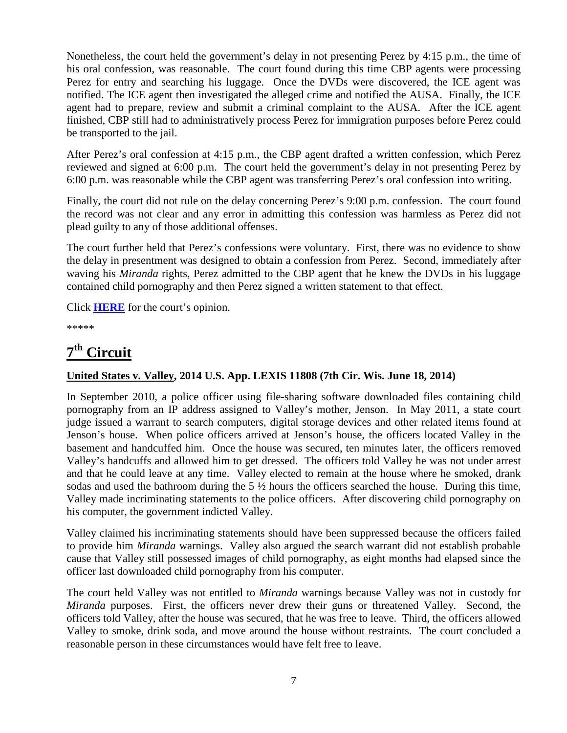Nonetheless, the court held the government's delay in not presenting Perez by 4:15 p.m., the time of his oral confession, was reasonable. The court found during this time CBP agents were processing Perez for entry and searching his luggage. Once the DVDs were discovered, the ICE agent was notified. The ICE agent then investigated the alleged crime and notified the AUSA. Finally, the ICE agent had to prepare, review and submit a criminal complaint to the AUSA. After the ICE agent finished, CBP still had to administratively process Perez for immigration purposes before Perez could be transported to the jail.

After Perez's oral confession at 4:15 p.m., the CBP agent drafted a written confession, which Perez reviewed and signed at 6:00 p.m. The court held the government's delay in not presenting Perez by 6:00 p.m. was reasonable while the CBP agent was transferring Perez's oral confession into writing.

Finally, the court did not rule on the delay concerning Perez's 9:00 p.m. confession. The court found the record was not clear and any error in admitting this confession was harmless as Perez did not plead guilty to any of those additional offenses.

The court further held that Perez's confessions were voluntary. First, there was no evidence to show the delay in presentment was designed to obtain a confession from Perez. Second, immediately after waving his *Miranda* rights, Perez admitted to the CBP agent that he knew the DVDs in his luggage contained child pornography and then Perez signed a written statement to that effect.

Click **[HERE](http://docs.justia.com/cases/federal/appellate-courts/ca5/12-40141/12-40141-2014-06-17.pdf)** for the court's opinion.

\*\*\*\*\*

## <span id="page-6-0"></span>**7th Circuit**

#### **United States v. Valley, 2014 U.S. App. LEXIS 11808 (7th Cir. Wis. June 18, 2014)**

In September 2010, a police officer using file-sharing software downloaded files containing child pornography from an IP address assigned to Valley's mother, Jenson. In May 2011, a state court judge issued a warrant to search computers, digital storage devices and other related items found at Jenson's house. When police officers arrived at Jenson's house, the officers located Valley in the basement and handcuffed him. Once the house was secured, ten minutes later, the officers removed Valley's handcuffs and allowed him to get dressed. The officers told Valley he was not under arrest and that he could leave at any time. Valley elected to remain at the house where he smoked, drank sodas and used the bathroom during the 5 ½ hours the officers searched the house. During this time, Valley made incriminating statements to the police officers. After discovering child pornography on his computer, the government indicted Valley.

Valley claimed his incriminating statements should have been suppressed because the officers failed to provide him *Miranda* warnings. Valley also argued the search warrant did not establish probable cause that Valley still possessed images of child pornography, as eight months had elapsed since the officer last downloaded child pornography from his computer.

The court held Valley was not entitled to *Miranda* warnings because Valley was not in custody for *Miranda* purposes. First, the officers never drew their guns or threatened Valley. Second, the officers told Valley, after the house was secured, that he was free to leave. Third, the officers allowed Valley to smoke, drink soda, and move around the house without restraints. The court concluded a reasonable person in these circumstances would have felt free to leave.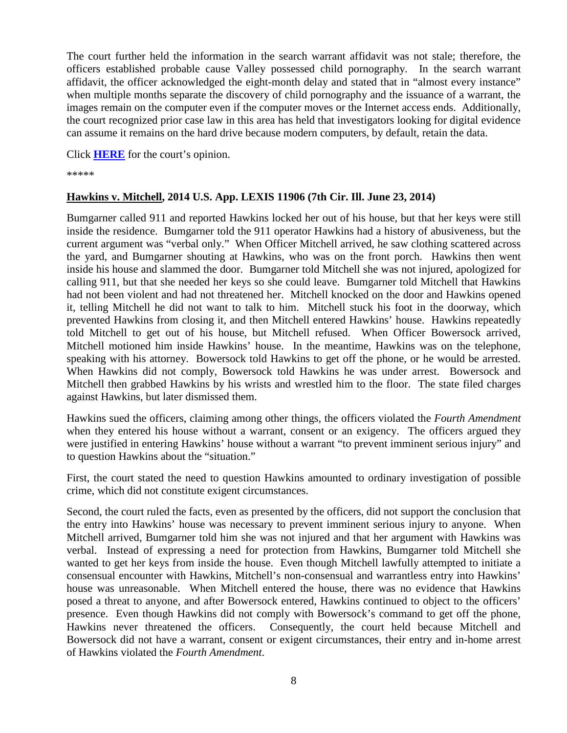The court further held the information in the search warrant affidavit was not stale; therefore, the officers established probable cause Valley possessed child pornography. In the search warrant affidavit, the officer acknowledged the eight-month delay and stated that in "almost every instance" when multiple months separate the discovery of child pornography and the issuance of a warrant, the images remain on the computer even if the computer moves or the Internet access ends. Additionally, the court recognized prior case law in this area has held that investigators looking for digital evidence can assume it remains on the hard drive because modern computers, by default, retain the data.

Click **[HERE](http://docs.justia.com/cases/federal/appellate-courts/ca7/13-2870/13-2870-2014-06-18.pdf)** for the court's opinion.

\*\*\*\*\*

#### **Hawkins v. Mitchell, 2014 U.S. App. LEXIS 11906 (7th Cir. Ill. June 23, 2014)**

Bumgarner called 911 and reported Hawkins locked her out of his house, but that her keys were still inside the residence. Bumgarner told the 911 operator Hawkins had a history of abusiveness, but the current argument was "verbal only." When Officer Mitchell arrived, he saw clothing scattered across the yard, and Bumgarner shouting at Hawkins, who was on the front porch. Hawkins then went inside his house and slammed the door. Bumgarner told Mitchell she was not injured, apologized for calling 911, but that she needed her keys so she could leave. Bumgarner told Mitchell that Hawkins had not been violent and had not threatened her. Mitchell knocked on the door and Hawkins opened it, telling Mitchell he did not want to talk to him. Mitchell stuck his foot in the doorway, which prevented Hawkins from closing it, and then Mitchell entered Hawkins' house. Hawkins repeatedly told Mitchell to get out of his house, but Mitchell refused. When Officer Bowersock arrived, Mitchell motioned him inside Hawkins' house. In the meantime, Hawkins was on the telephone, speaking with his attorney. Bowersock told Hawkins to get off the phone, or he would be arrested. When Hawkins did not comply, Bowersock told Hawkins he was under arrest. Bowersock and Mitchell then grabbed Hawkins by his wrists and wrestled him to the floor. The state filed charges against Hawkins, but later dismissed them.

Hawkins sued the officers, claiming among other things, the officers violated the *Fourth Amendment* when they entered his house without a warrant, consent or an exigency. The officers argued they were justified in entering Hawkins' house without a warrant "to prevent imminent serious injury" and to question Hawkins about the "situation."

First, the court stated the need to question Hawkins amounted to ordinary investigation of possible crime, which did not constitute exigent circumstances.

Second, the court ruled the facts, even as presented by the officers, did not support the conclusion that the entry into Hawkins' house was necessary to prevent imminent serious injury to anyone. When Mitchell arrived, Bumgarner told him she was not injured and that her argument with Hawkins was verbal. Instead of expressing a need for protection from Hawkins, Bumgarner told Mitchell she wanted to get her keys from inside the house. Even though Mitchell lawfully attempted to initiate a consensual encounter with Hawkins, Mitchell's non-consensual and warrantless entry into Hawkins' house was unreasonable. When Mitchell entered the house, there was no evidence that Hawkins posed a threat to anyone, and after Bowersock entered, Hawkins continued to object to the officers' presence. Even though Hawkins did not comply with Bowersock's command to get off the phone, Hawkins never threatened the officers. Consequently, the court held because Mitchell and Bowersock did not have a warrant, consent or exigent circumstances, their entry and in-home arrest of Hawkins violated the *Fourth Amendment*.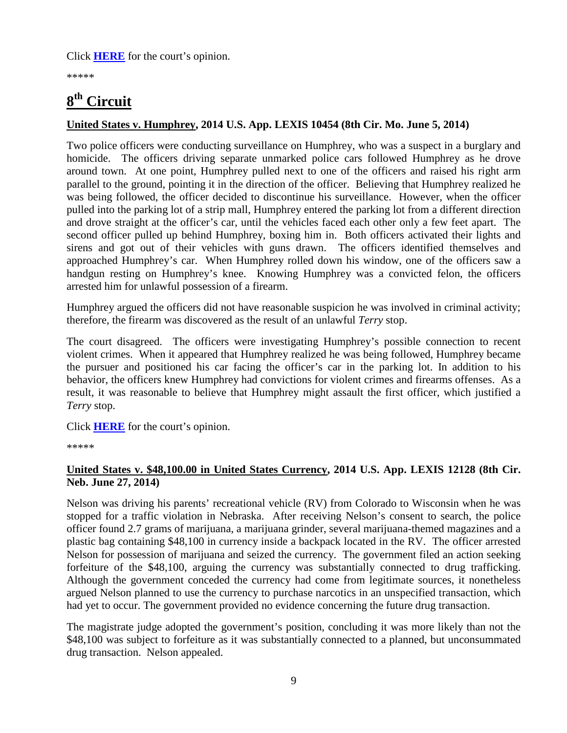Click **[HERE](http://docs.justia.com/cases/federal/appellate-courts/ca7/13-2533/13-2533-2014-06-23.pdf)** for the court's opinion.

\*\*\*\*\*

## <span id="page-8-0"></span>**8th Circuit**

#### **United States v. Humphrey, 2014 U.S. App. LEXIS 10454 (8th Cir. Mo. June 5, 2014)**

Two police officers were conducting surveillance on Humphrey, who was a suspect in a burglary and homicide. The officers driving separate unmarked police cars followed Humphrey as he drove around town. At one point, Humphrey pulled next to one of the officers and raised his right arm parallel to the ground, pointing it in the direction of the officer. Believing that Humphrey realized he was being followed, the officer decided to discontinue his surveillance. However, when the officer pulled into the parking lot of a strip mall, Humphrey entered the parking lot from a different direction and drove straight at the officer's car, until the vehicles faced each other only a few feet apart. The second officer pulled up behind Humphrey, boxing him in. Both officers activated their lights and sirens and got out of their vehicles with guns drawn. The officers identified themselves and approached Humphrey's car. When Humphrey rolled down his window, one of the officers saw a handgun resting on Humphrey's knee. Knowing Humphrey was a convicted felon, the officers arrested him for unlawful possession of a firearm.

Humphrey argued the officers did not have reasonable suspicion he was involved in criminal activity; therefore, the firearm was discovered as the result of an unlawful *Terry* stop.

The court disagreed. The officers were investigating Humphrey's possible connection to recent violent crimes. When it appeared that Humphrey realized he was being followed, Humphrey became the pursuer and positioned his car facing the officer's car in the parking lot. In addition to his behavior, the officers knew Humphrey had convictions for violent crimes and firearms offenses. As a result, it was reasonable to believe that Humphrey might assault the first officer, which justified a *Terry* stop.

Click **[HERE](http://docs.justia.com/cases/federal/appellate-courts/ca8/13-1689/13-1689-2014-06-05.pdf)** for the court's opinion.

\*\*\*\*\*

#### **United States v. \$48,100.00 in United States Currency, 2014 U.S. App. LEXIS 12128 (8th Cir. Neb. June 27, 2014)**

Nelson was driving his parents' recreational vehicle (RV) from Colorado to Wisconsin when he was stopped for a traffic violation in Nebraska. After receiving Nelson's consent to search, the police officer found 2.7 grams of marijuana, a marijuana grinder, several marijuana-themed magazines and a plastic bag containing \$48,100 in currency inside a backpack located in the RV. The officer arrested Nelson for possession of marijuana and seized the currency. The government filed an action seeking forfeiture of the \$48,100, arguing the currency was substantially connected to drug trafficking. Although the government conceded the currency had come from legitimate sources, it nonetheless argued Nelson planned to use the currency to purchase narcotics in an unspecified transaction, which had yet to occur. The government provided no evidence concerning the future drug transaction.

The magistrate judge adopted the government's position, concluding it was more likely than not the \$48,100 was subject to forfeiture as it was substantially connected to a planned, but unconsummated drug transaction. Nelson appealed.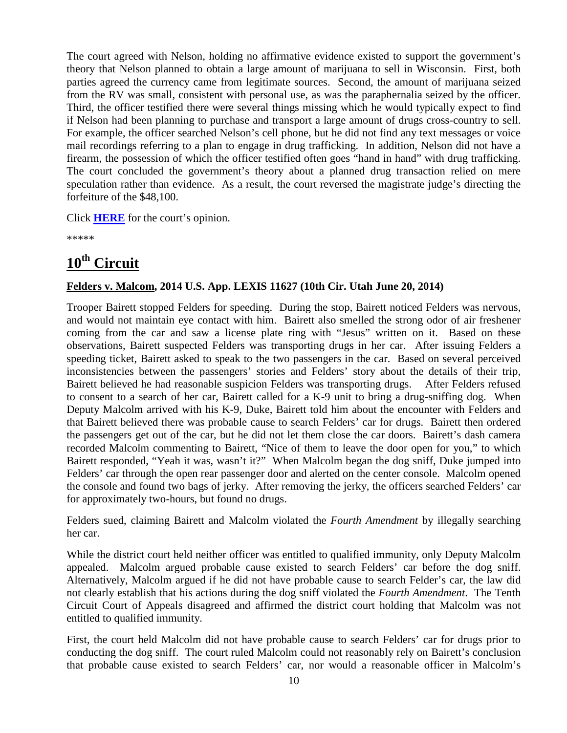The court agreed with Nelson, holding no affirmative evidence existed to support the government's theory that Nelson planned to obtain a large amount of marijuana to sell in Wisconsin. First, both parties agreed the currency came from legitimate sources. Second, the amount of marijuana seized from the RV was small, consistent with personal use, as was the paraphernalia seized by the officer. Third, the officer testified there were several things missing which he would typically expect to find if Nelson had been planning to purchase and transport a large amount of drugs cross-country to sell. For example, the officer searched Nelson's cell phone, but he did not find any text messages or voice mail recordings referring to a plan to engage in drug trafficking. In addition, Nelson did not have a firearm, the possession of which the officer testified often goes "hand in hand" with drug trafficking. The court concluded the government's theory about a planned drug transaction relied on mere speculation rather than evidence. As a result, the court reversed the magistrate judge's directing the forfeiture of the \$48,100.

Click **[HERE](http://docs.justia.com/cases/federal/appellate-courts/ca8/13-1902/13-1902-2014-06-27.pdf)** for the court's opinion.

\*\*\*\*\*

## <span id="page-9-0"></span>**10th Circuit**

#### **Felders v. Malcom, 2014 U.S. App. LEXIS 11627 (10th Cir. Utah June 20, 2014)**

Trooper Bairett stopped Felders for speeding. During the stop, Bairett noticed Felders was nervous, and would not maintain eye contact with him. Bairett also smelled the strong odor of air freshener coming from the car and saw a license plate ring with "Jesus" written on it. Based on these observations, Bairett suspected Felders was transporting drugs in her car. After issuing Felders a speeding ticket, Bairett asked to speak to the two passengers in the car. Based on several perceived inconsistencies between the passengers' stories and Felders' story about the details of their trip, Bairett believed he had reasonable suspicion Felders was transporting drugs. After Felders refused to consent to a search of her car, Bairett called for a K-9 unit to bring a drug-sniffing dog. When Deputy Malcolm arrived with his K-9, Duke, Bairett told him about the encounter with Felders and that Bairett believed there was probable cause to search Felders' car for drugs. Bairett then ordered the passengers get out of the car, but he did not let them close the car doors. Bairett's dash camera recorded Malcolm commenting to Bairett, "Nice of them to leave the door open for you," to which Bairett responded, "Yeah it was, wasn't it?" When Malcolm began the dog sniff, Duke jumped into Felders' car through the open rear passenger door and alerted on the center console. Malcolm opened the console and found two bags of jerky. After removing the jerky, the officers searched Felders' car for approximately two-hours, but found no drugs.

Felders sued, claiming Bairett and Malcolm violated the *Fourth Amendment* by illegally searching her car.

While the district court held neither officer was entitled to qualified immunity, only Deputy Malcolm appealed. Malcolm argued probable cause existed to search Felders' car before the dog sniff. Alternatively, Malcolm argued if he did not have probable cause to search Felder's car, the law did not clearly establish that his actions during the dog sniff violated the *Fourth Amendment*. The Tenth Circuit Court of Appeals disagreed and affirmed the district court holding that Malcolm was not entitled to qualified immunity.

First, the court held Malcolm did not have probable cause to search Felders' car for drugs prior to conducting the dog sniff. The court ruled Malcolm could not reasonably rely on Bairett's conclusion that probable cause existed to search Felders' car, nor would a reasonable officer in Malcolm's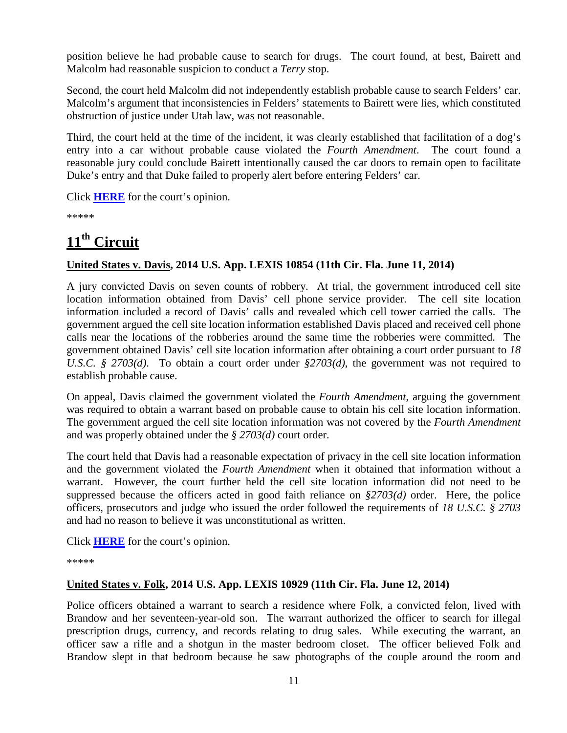position believe he had probable cause to search for drugs. The court found, at best, Bairett and Malcolm had reasonable suspicion to conduct a *Terry* stop.

Second, the court held Malcolm did not independently establish probable cause to search Felders' car. Malcolm's argument that inconsistencies in Felders' statements to Bairett were lies, which constituted obstruction of justice under Utah law, was not reasonable.

Third, the court held at the time of the incident, it was clearly established that facilitation of a dog's entry into a car without probable cause violated the *Fourth Amendment*. The court found a reasonable jury could conclude Bairett intentionally caused the car doors to remain open to facilitate Duke's entry and that Duke failed to properly alert before entering Felders' car.

Click **[HERE](http://docs.justia.com/cases/federal/appellate-courts/ca10/12-4154/12-4154-2014-06-20.pdf)** for the court's opinion.

\*\*\*\*\*

## <span id="page-10-0"></span>**11th Circuit**

#### **United States v. Davis, 2014 U.S. App. LEXIS 10854 (11th Cir. Fla. June 11, 2014)**

A jury convicted Davis on seven counts of robbery. At trial, the government introduced cell site location information obtained from Davis' cell phone service provider. The cell site location information included a record of Davis' calls and revealed which cell tower carried the calls. The government argued the cell site location information established Davis placed and received cell phone calls near the locations of the robberies around the same time the robberies were committed. The government obtained Davis' cell site location information after obtaining a court order pursuant to *18 U.S.C. § 2703(d)*. To obtain a court order under *§2703(d)*, the government was not required to establish probable cause.

On appeal, Davis claimed the government violated the *Fourth Amendment*, arguing the government was required to obtain a warrant based on probable cause to obtain his cell site location information. The government argued the cell site location information was not covered by the *Fourth Amendment* and was properly obtained under the *§ 2703(d)* court order.

The court held that Davis had a reasonable expectation of privacy in the cell site location information and the government violated the *Fourth Amendment* when it obtained that information without a warrant. However, the court further held the cell site location information did not need to be suppressed because the officers acted in good faith reliance on *§2703(d)* order. Here, the police officers, prosecutors and judge who issued the order followed the requirements of *18 U.S.C. § 2703* and had no reason to believe it was unconstitutional as written.

Click **[HERE](http://docs.justia.com/cases/federal/appellate-courts/ca11/12-12928/12-12928-2014-06-11.pdf)** for the court's opinion.

\*\*\*\*\*

#### **United States v. Folk, 2014 U.S. App. LEXIS 10929 (11th Cir. Fla. June 12, 2014)**

Police officers obtained a warrant to search a residence where Folk, a convicted felon, lived with Brandow and her seventeen-year-old son. The warrant authorized the officer to search for illegal prescription drugs, currency, and records relating to drug sales. While executing the warrant, an officer saw a rifle and a shotgun in the master bedroom closet. The officer believed Folk and Brandow slept in that bedroom because he saw photographs of the couple around the room and